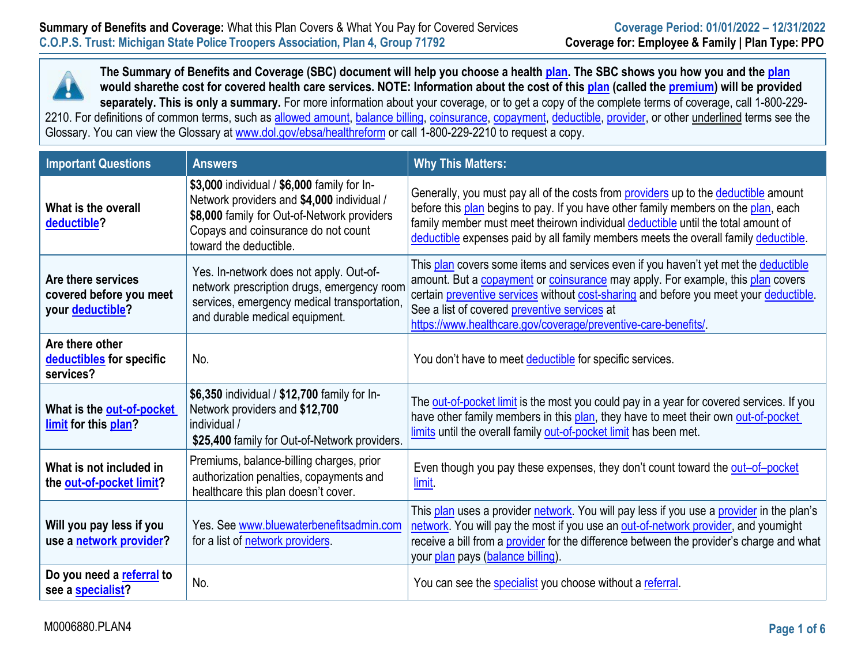

**The Summary of Benefits and Coverage (SBC) document will help you choose a health plan. The SBC shows you how you and the plan would sharethe cost for covered health care services. NOTE: Information about the cost of this plan (called the premium) will be provided separately. This is only a summary.** For more information about your coverage, or to get a copy of the complete terms of coverage, call 1-800-229- 2210. For definitions of common terms, such as <u>allowed amount, balance billing, coinsurance, copayment, deductible, provider</u>, or other <u>underlined</u> terms see the Glossary. You can view the Glossary at [www.dol.gov/ebsa/healthreform](http://www.dol.gov/ebsa/healthreform) or call 1-800-229-2210 to request a copy.

| <b>Important Questions</b>                                        | <b>Answers</b>                                                                                                                                                                                            | <b>Why This Matters:</b>                                                                                                                                                                                                                                                                                                                                                         |
|-------------------------------------------------------------------|-----------------------------------------------------------------------------------------------------------------------------------------------------------------------------------------------------------|----------------------------------------------------------------------------------------------------------------------------------------------------------------------------------------------------------------------------------------------------------------------------------------------------------------------------------------------------------------------------------|
| What is the overall<br>deductible?                                | \$3,000 individual / \$6,000 family for In-<br>Network providers and \$4,000 individual /<br>\$8,000 family for Out-of-Network providers<br>Copays and coinsurance do not count<br>toward the deductible. | Generally, you must pay all of the costs from <b>providers</b> up to the <b>deductible</b> amount<br>before this plan begins to pay. If you have other family members on the plan, each<br>family member must meet theirown individual deductible until the total amount of<br>deductible expenses paid by all family members meets the overall family deductible.               |
| Are there services<br>covered before you meet<br>your deductible? | Yes. In-network does not apply. Out-of-<br>network prescription drugs, emergency room<br>services, emergency medical transportation,<br>and durable medical equipment.                                    | This plan covers some items and services even if you haven't yet met the deductible<br>amount. But a copayment or coinsurance may apply. For example, this plan covers<br>certain preventive services without cost-sharing and before you meet your deductible.<br>See a list of covered preventive services at<br>https://www.healthcare.gov/coverage/preventive-care-benefits/ |
| Are there other<br>deductibles for specific<br>services?          | No.                                                                                                                                                                                                       | You don't have to meet deductible for specific services.                                                                                                                                                                                                                                                                                                                         |
| What is the out-of-pocket<br>limit for this plan?                 | \$6,350 individual / \$12,700 family for In-<br>Network providers and \$12,700<br>individual /<br>\$25,400 family for Out-of-Network providers.                                                           | The out-of-pocket limit is the most you could pay in a year for covered services. If you<br>have other family members in this plan, they have to meet their own out-of-pocket<br>limits until the overall family out-of-pocket limit has been met.                                                                                                                               |
| What is not included in<br>the out-of-pocket limit?               | Premiums, balance-billing charges, prior<br>authorization penalties, copayments and<br>healthcare this plan doesn't cover.                                                                                | Even though you pay these expenses, they don't count toward the out-of-pocket<br>limit.                                                                                                                                                                                                                                                                                          |
| Will you pay less if you<br>use a network provider?               | Yes. See www.bluewaterbenefitsadmin.com<br>for a list of network providers.                                                                                                                               | This plan uses a provider network. You will pay less if you use a provider in the plan's<br>network. You will pay the most if you use an out-of-network provider, and youmight<br>receive a bill from a provider for the difference between the provider's charge and what<br>your plan pays (balance billing).                                                                  |
| Do you need a referral to<br>see a specialist?                    | No.                                                                                                                                                                                                       | You can see the specialist you choose without a referral.                                                                                                                                                                                                                                                                                                                        |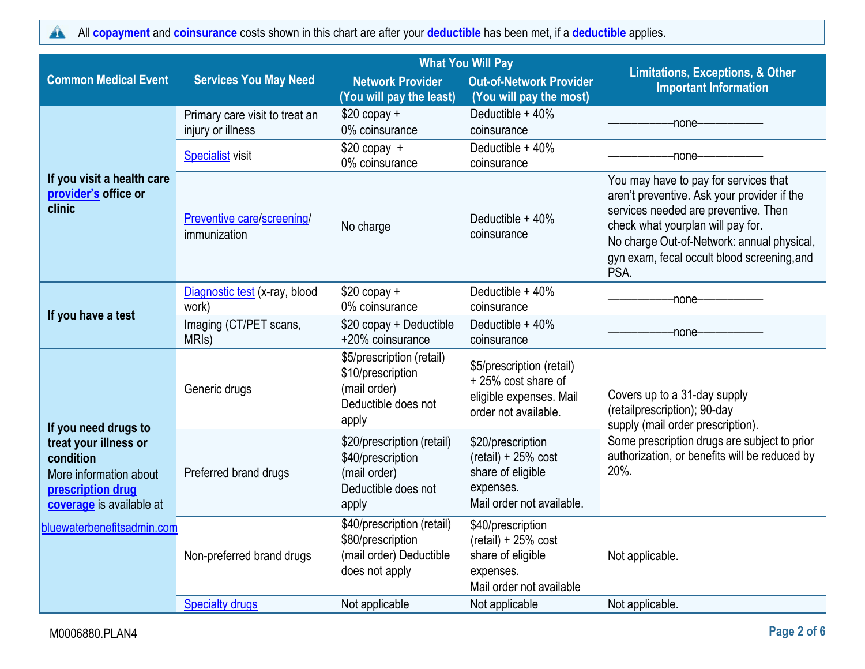All **[copayment](https://www.healthcare.gov/sbc-glossary/#copayment)** and **[coinsurance](https://www.healthcare.gov/sbc-glossary/#coinsurance)** costs shown in this chart are after your **[deductible](https://www.healthcare.gov/sbc-glossary/#deductible)** has been met, if a **[deductible](https://www.healthcare.gov/sbc-glossary/#deductible)** applies.  $\blacktriangle$ 

|                                                                                                               |                                                     | <b>What You Will Pay</b>                                                                        |                                                                                                           | <b>Limitations, Exceptions, &amp; Other</b>                                                                                                                                                                                                                            |  |
|---------------------------------------------------------------------------------------------------------------|-----------------------------------------------------|-------------------------------------------------------------------------------------------------|-----------------------------------------------------------------------------------------------------------|------------------------------------------------------------------------------------------------------------------------------------------------------------------------------------------------------------------------------------------------------------------------|--|
| <b>Common Medical Event</b>                                                                                   | <b>Services You May Need</b>                        | <b>Network Provider</b><br>(You will pay the least)                                             | <b>Out-of-Network Provider</b><br>(You will pay the most)                                                 | <b>Important Information</b>                                                                                                                                                                                                                                           |  |
|                                                                                                               | Primary care visit to treat an<br>injury or illness | $$20$ copay +<br>0% coinsurance                                                                 | Deductible + 40%<br>coinsurance                                                                           | -none-                                                                                                                                                                                                                                                                 |  |
|                                                                                                               | <b>Specialist</b> visit                             | $$20$ copay +<br>0% coinsurance                                                                 | Deductible $+40%$<br>coinsurance                                                                          | -none-                                                                                                                                                                                                                                                                 |  |
| If you visit a health care<br>provider's office or<br>clinic                                                  | Preventive care/screening/<br>immunization          | No charge                                                                                       | Deductible + 40%<br>coinsurance                                                                           | You may have to pay for services that<br>aren't preventive. Ask your provider if the<br>services needed are preventive. Then<br>check what yourplan will pay for.<br>No charge Out-of-Network: annual physical,<br>gyn exam, fecal occult blood screening, and<br>PSA. |  |
|                                                                                                               | Diagnostic test (x-ray, blood<br>work)              | $$20$ copay +<br>0% coinsurance                                                                 | Deductible + 40%<br>coinsurance                                                                           | -none--------                                                                                                                                                                                                                                                          |  |
| If you have a test                                                                                            | Imaging (CT/PET scans,<br>MRI <sub>s</sub> )        | \$20 copay + Deductible<br>+20% coinsurance                                                     | Deductible + 40%<br>coinsurance                                                                           | -none-                                                                                                                                                                                                                                                                 |  |
| If you need drugs to                                                                                          | Generic drugs                                       | \$5/prescription (retail)<br>\$10/prescription<br>(mail order)<br>Deductible does not<br>apply  | \$5/prescription (retail)<br>+25% cost share of<br>eligible expenses. Mail<br>order not available.        | Covers up to a 31-day supply<br>(retailprescription); 90-day<br>supply (mail order prescription).                                                                                                                                                                      |  |
| treat your illness or<br>condition<br>More information about<br>prescription drug<br>coverage is available at | Preferred brand drugs                               | \$20/prescription (retail)<br>\$40/prescription<br>(mail order)<br>Deductible does not<br>apply | \$20/prescription<br>$(retail) + 25% cost$<br>share of eligible<br>expenses.<br>Mail order not available. | Some prescription drugs are subject to prior<br>authorization, or benefits will be reduced by<br>20%.                                                                                                                                                                  |  |
| bluewaterbenefitsadmin.com                                                                                    | Non-preferred brand drugs                           | \$40/prescription (retail)<br>\$80/prescription<br>(mail order) Deductible<br>does not apply    | \$40/prescription<br>$(retail) + 25% cost$<br>share of eligible<br>expenses.<br>Mail order not available  | Not applicable.                                                                                                                                                                                                                                                        |  |
|                                                                                                               | <b>Specialty drugs</b>                              | Not applicable                                                                                  | Not applicable                                                                                            | Not applicable.                                                                                                                                                                                                                                                        |  |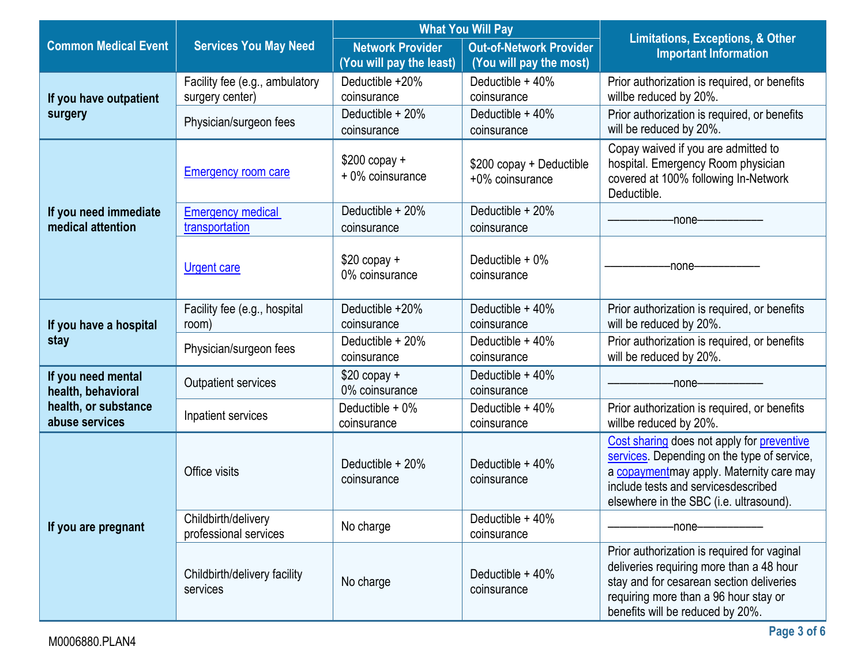|                                                             |                                                   | <b>What You Will Pay</b>                            |                                                           |                                                                                                                                                                                                                         |
|-------------------------------------------------------------|---------------------------------------------------|-----------------------------------------------------|-----------------------------------------------------------|-------------------------------------------------------------------------------------------------------------------------------------------------------------------------------------------------------------------------|
| <b>Common Medical Event</b><br><b>Services You May Need</b> |                                                   | <b>Network Provider</b><br>(You will pay the least) | <b>Out-of-Network Provider</b><br>(You will pay the most) | <b>Limitations, Exceptions, &amp; Other</b><br><b>Important Information</b>                                                                                                                                             |
| If you have outpatient                                      | Facility fee (e.g., ambulatory<br>surgery center) | Deductible +20%<br>coinsurance                      | Deductible $+40%$<br>coinsurance                          | Prior authorization is required, or benefits<br>willbe reduced by 20%.                                                                                                                                                  |
| surgery                                                     | Physician/surgeon fees                            | Deductible + 20%<br>coinsurance                     | Deductible + 40%<br>coinsurance                           | Prior authorization is required, or benefits<br>will be reduced by 20%.                                                                                                                                                 |
|                                                             | <b>Emergency room care</b>                        | $$200$ copay +<br>+ 0% coinsurance                  | \$200 copay + Deductible<br>+0% coinsurance               | Copay waived if you are admitted to<br>hospital. Emergency Room physician<br>covered at 100% following In-Network<br>Deductible.                                                                                        |
| If you need immediate<br>medical attention                  | <b>Emergency medical</b><br>transportation        | Deductible + 20%<br>coinsurance                     | Deductible + 20%<br>coinsurance                           | -none—                                                                                                                                                                                                                  |
|                                                             | <b>Urgent care</b>                                | $$20$ copay $+$<br>0% coinsurance                   | Deductible $+0\%$<br>coinsurance                          | -none-                                                                                                                                                                                                                  |
| If you have a hospital                                      | Facility fee (e.g., hospital<br>room)             | Deductible +20%<br>coinsurance                      | Deductible + 40%<br>coinsurance                           | Prior authorization is required, or benefits<br>will be reduced by 20%.                                                                                                                                                 |
| stay                                                        | Physician/surgeon fees                            | Deductible + 20%<br>coinsurance                     | Deductible + 40%<br>coinsurance                           | Prior authorization is required, or benefits<br>will be reduced by 20%.                                                                                                                                                 |
| If you need mental<br>health, behavioral                    | Outpatient services                               | $$20$ copay +<br>0% coinsurance                     | Deductible + 40%<br>coinsurance                           | -none-                                                                                                                                                                                                                  |
| health, or substance<br>abuse services                      | Inpatient services                                | Deductible + 0%<br>coinsurance                      | Deductible + 40%<br>coinsurance                           | Prior authorization is required, or benefits<br>willbe reduced by 20%.                                                                                                                                                  |
|                                                             | Office visits                                     | Deductible + 20%<br>coinsurance                     | Deductible $+40%$<br>coinsurance                          | Cost sharing does not apply for preventive<br>services. Depending on the type of service,<br>a copaymentmay apply. Maternity care may<br>include tests and servicesdescribed<br>elsewhere in the SBC (i.e. ultrasound). |
| If you are pregnant                                         | Childbirth/delivery<br>professional services      | No charge                                           | Deductible $+40%$<br>coinsurance                          | -none-                                                                                                                                                                                                                  |
|                                                             | Childbirth/delivery facility<br>services          | No charge                                           | Deductible $+40%$<br>coinsurance                          | Prior authorization is required for vaginal<br>deliveries requiring more than a 48 hour<br>stay and for cesarean section deliveries<br>requiring more than a 96 hour stay or<br>benefits will be reduced by 20%.        |

L.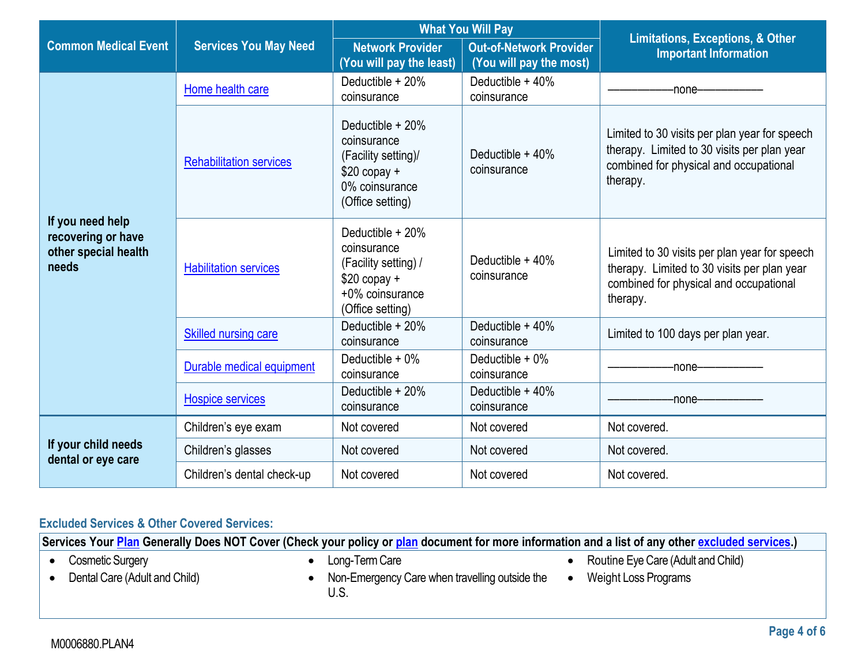|                                                                         |                                | <b>What You Will Pay</b>                                                                                        |                                                           | <b>Limitations, Exceptions, &amp; Other</b>                                                                                                        |  |
|-------------------------------------------------------------------------|--------------------------------|-----------------------------------------------------------------------------------------------------------------|-----------------------------------------------------------|----------------------------------------------------------------------------------------------------------------------------------------------------|--|
| <b>Common Medical Event</b>                                             | <b>Services You May Need</b>   | <b>Network Provider</b><br>(You will pay the least)                                                             | <b>Out-of-Network Provider</b><br>(You will pay the most) | <b>Important Information</b>                                                                                                                       |  |
|                                                                         | Home health care               | Deductible + 20%<br>coinsurance                                                                                 | Deductible + 40%<br>coinsurance                           | -none-                                                                                                                                             |  |
| If you need help<br>recovering or have<br>other special health<br>needs | <b>Rehabilitation services</b> | Deductible + 20%<br>coinsurance<br>(Facility setting)/<br>$$20$ copay +<br>0% coinsurance<br>(Office setting)   | Deductible $+40%$<br>coinsurance                          | Limited to 30 visits per plan year for speech<br>therapy. Limited to 30 visits per plan year<br>combined for physical and occupational<br>therapy. |  |
|                                                                         | <b>Habilitation services</b>   | Deductible + 20%<br>coinsurance<br>(Facility setting) /<br>$$20$ copay +<br>+0% coinsurance<br>(Office setting) | Deductible $+40%$<br>coinsurance                          | Limited to 30 visits per plan year for speech<br>therapy. Limited to 30 visits per plan year<br>combined for physical and occupational<br>therapy. |  |
|                                                                         | <b>Skilled nursing care</b>    | Deductible $+20%$<br>Deductible $+40%$<br>coinsurance<br>coinsurance                                            |                                                           | Limited to 100 days per plan year.                                                                                                                 |  |
|                                                                         | Durable medical equipment      | Deductible $+0\%$<br>coinsurance                                                                                | Deductible $+0\%$<br>coinsurance                          | -none-                                                                                                                                             |  |
|                                                                         | <b>Hospice services</b>        | Deductible + 20%<br>coinsurance                                                                                 | Deductible + 40%<br>coinsurance                           | -none-                                                                                                                                             |  |
|                                                                         | Children's eye exam            | Not covered                                                                                                     | Not covered                                               | Not covered.                                                                                                                                       |  |
| If your child needs<br>dental or eye care                               | Children's glasses             | Not covered                                                                                                     | Not covered                                               | Not covered.                                                                                                                                       |  |
|                                                                         | Children's dental check-up     | Not covered                                                                                                     | Not covered                                               | Not covered.                                                                                                                                       |  |

# **Excluded Services & Other Covered Services:**

**Services Your [Plan](https://www.healthcare.gov/sbc-glossary/#plan) Generally Does NOT Cover (Check your policy or [plan](https://www.healthcare.gov/sbc-glossary/#plan) document for more information and a list of any other [excluded services.](https://www.healthcare.gov/sbc-glossary/#excluded-services))**

- Cosmetic Surgery
- Dental Care (Adult and Child)
- Long-Term Care
- Non-Emergency Care when travelling outside the U.S.
- Routine Eye Care (Adult and Child)
- Weight Loss Programs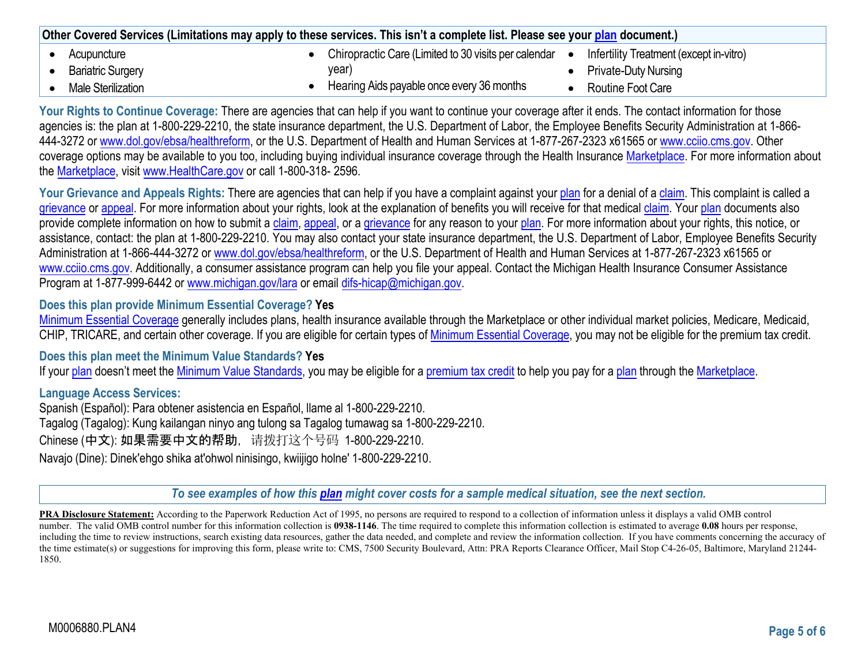| Other Covered Services (Limitations may apply to these services. This isn't a complete list. Please see your plan document.) |  |                                                      |  |                                         |
|------------------------------------------------------------------------------------------------------------------------------|--|------------------------------------------------------|--|-----------------------------------------|
| Acupuncture                                                                                                                  |  | Chiropractic Care (Limited to 30 visits per calendar |  | Infertility Treatment (except in-vitro) |
| <b>Bariatric Surgery</b>                                                                                                     |  | year)                                                |  | <b>Private-Duty Nursing</b>             |
| Male Sterilization                                                                                                           |  | Hearing Aids payable once every 36 months            |  | Routine Foot Care                       |

**Your Rights to Continue Coverage:** There are agencies that can help if you want to continue your coverage after it ends. The contact information for those agencies is: the plan at 1-800-229-2210, the state insurance department, the U.S. Department of Labor, the Employee Benefits Security Administration at 1-866-444-3272 or [www.dol.gov/ebsa/healthreform, o](http://www.dol.gov/ebsa/healthreform)r the U.S. Department of Health and Human Services at 1-877-267-2323 x61565 or [www.cciio.cms.gov. O](http://www.cciio.cms.gov/)ther coverage options may be available to you too, including buying individual insurance coverage through the Health Insurance Marketplace. For more information about the Marketplace, visit [www.HealthCare.gov](http://www.healthcare.gov/) or call 1-800-318- 2596.

Your Grievance and Appeals Rights: There are agencies that can help if you have a complaint against your plan for a denial of a claim. This complaint is called a grievance or appeal. For more information about your rights, look at the explanation of benefits you will receive for that medical claim. Your plan documents also provide complete information on how to submit a claim, appeal, or a grievance for any reason to your plan. For more information about your rights, this notice, or assistance, contact: the plan at 1-800-229-2210. You may also contact your state insurance department, the U.S. Department of Labor, Employee Benefits Security Administration at 1-866-444-3272 or [www.dol.gov/ebsa/healthreform, or](http://www.dol.gov/ebsa/healthreform) the U.S. Department of Health and Human Services at 1-877-267-2323 x61565 or [www.cciio.cms.gov. A](http://www.cciio.cms.gov/)dditionally, a consumer assistance program can help you file your appeal. Contact the Michigan Health Insurance Consumer Assistance Program at 1-877-999-6442 or [www.michigan.gov/lara](http://www.michigan.gov/lara) or email difs-hicap@michigan.gov.

## **Does this plan provide Minimum Essential Coverage? Yes**

Minimum Essential Coverage generally includes plans, health insurance available through the Marketplace or other individual market policies, Medicare, Medicaid, CHIP, TRICARE, and certain other coverage. If you are eligible for certain types of Minimum Essential Coverage, you may not be eligible for the premium tax credit.

## **Does this plan meet the Minimum Value Standards? Yes**

If your plan doesn't meet the Minimum Value Standards, you may be eligible for a premium tax credit to help you pay for a plan through the Marketplace.

## **Language Access Services:**

Spanish (Español): Para obtener asistencia en Español, llame al 1-800-229-2210. Tagalog (Tagalog): Kung kailangan ninyo ang tulong sa Tagalog tumawag sa 1-800-229-2210. Chinese (中文): 如果需要中文的帮助,请拨打这个号码 1-800-229-2210. Navajo (Dine): Dinek'ehgo shika at'ohwol ninisingo, kwiijigo holne' 1-800-229-2210.

*To see examples of how this [plan](https://www.healthcare.gov/sbc-glossary/#plan) might cover costs for a sample medical situation, see the next section.*

**PRA Disclosure Statement:** According to the Paperwork Reduction Act of 1995, no persons are required to respond to a collection of information unless it displays a valid OMB control number. The valid OMB control number for this information collection is **0938-1146**. The time required to complete this information collection is estimated to average **0.08** hours per response, including the time to review instructions, search existing data resources, gather the data needed, and complete and review the information collection. If you have comments concerning the accuracy of the time estimate(s) or suggestions for improving this form, please write to: CMS, 7500 Security Boulevard, Attn: PRA Reports Clearance Officer, Mail Stop C4-26-05, Baltimore, Maryland 21244-1850.